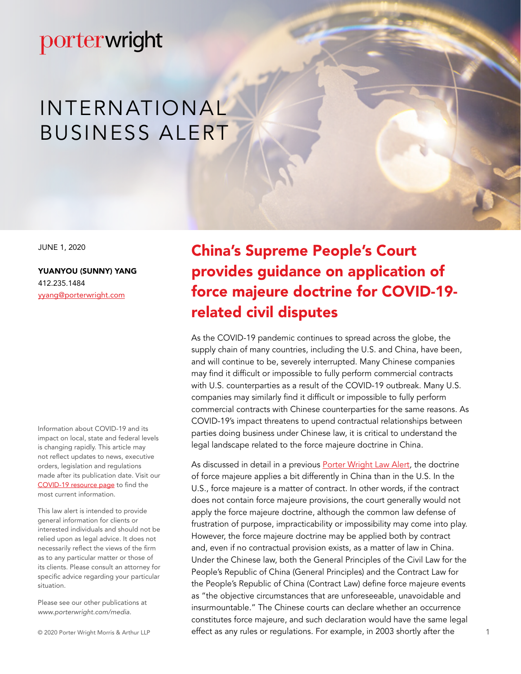# INTERNATIONAL BUSINESS ALERT

JUNE 1, 2020

[YUANYOU \(SUNNY\) YANG](https://www.porterwright.com/yuanyou-sunny-yang/) 412.235.1484 yyang@porterwright.com

Information about COVID-19 and its impact on local, state and federal levels is changing rapidly. This article may not reflect updates to news, executive orders, legislation and regulations made after its publication date. Visit our [COVID-19 resource page](https://www.porterwright.com/covid-19/media-2/) to find the most current information.

This law alert is intended to provide general information for clients or interested individuals and should not be relied upon as legal advice. It does not necessarily reflect the views of the firm as to any particular matter or those of its clients. Please consult an attorney for specific advice regarding your particular situation.

Please see our other publications at *www.porterwright.com/media.*

© 2020 Porter Wright Morris & Arthur LLP

China's Supreme People's Court provides guidance on application of force majeure doctrine for COVID-19 related civil disputes

As the COVID-19 pandemic continues to spread across the globe, the supply chain of many countries, including the U.S. and China, have been, and will continue to be, severely interrupted. Many Chinese companies may find it difficult or impossible to fully perform commercial contracts with U.S. counterparties as a result of the COVID-19 outbreak. Many U.S. companies may similarly find it difficult or impossible to fully perform commercial contracts with Chinese counterparties for the same reasons. As COVID-19's impact threatens to upend contractual relationships between parties doing business under Chinese law, it is critical to understand the legal landscape related to the force majeure doctrine in China.

As discussed in detail in a previous [Porter Wright Law Alert](https://www.porterwright.com/media/force-majeure-legal-impact-of-recent-coronavirus-outbreak-on-international-trade/), the doctrine of force majeure applies a bit differently in China than in the U.S. In the U.S., force majeure is a matter of contract. In other words, if the contract does not contain force majeure provisions, the court generally would not apply the force majeure doctrine, although the common law defense of frustration of purpose, impracticability or impossibility may come into play. However, the force majeure doctrine may be applied both by contract and, even if no contractual provision exists, as a matter of law in China. Under the Chinese law, both the General Principles of the Civil Law for the People's Republic of China (General Principles) and the Contract Law for the People's Republic of China (Contract Law) define force majeure events as "the objective circumstances that are unforeseeable, unavoidable and insurmountable." The Chinese courts can declare whether an occurrence constitutes force majeure, and such declaration would have the same legal effect as any rules or regulations. For example, in 2003 shortly after the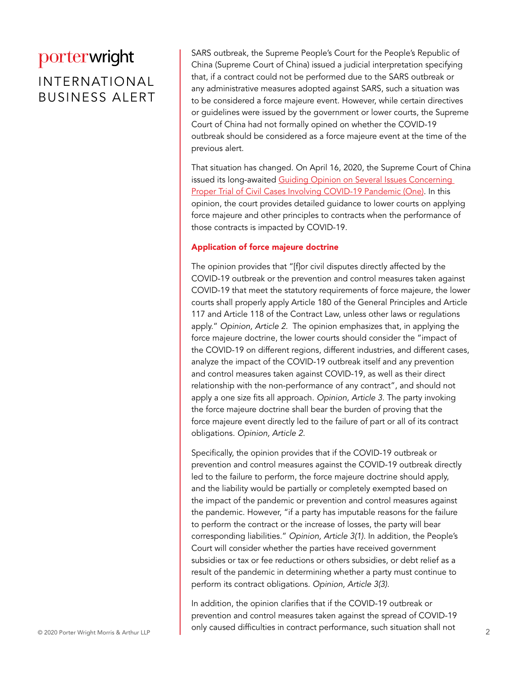### INTERNATIONAL BUSINESS ALERT

SARS outbreak, the Supreme People's Court for the People's Republic of China (Supreme Court of China) issued a judicial interpretation specifying that, if a contract could not be performed due to the SARS outbreak or any administrative measures adopted against SARS, such a situation was to be considered a force majeure event. However, while certain directives or guidelines were issued by the government or lower courts, the Supreme Court of China had not formally opined on whether the COVID-19 outbreak should be considered as a force majeure event at the time of the previous alert.

That situation has changed. On April 16, 2020, the Supreme Court of China issued its long-awaited Guiding Opinion on Several Issues Concerning [Proper Trial of Civil Cases Involving COVID-19 Pandemic \(One\)](http://www.court.gov.cn/fabu-xiangqing-226241.html). In this opinion, the court provides detailed guidance to lower courts on applying force majeure and other principles to contracts when the performance of those contracts is impacted by COVID-19.

#### Application of force majeure doctrine

The opinion provides that "[f]or civil disputes directly affected by the COVID-19 outbreak or the prevention and control measures taken against COVID-19 that meet the statutory requirements of force majeure, the lower courts shall properly apply Article 180 of the General Principles and Article 117 and Article 118 of the Contract Law, unless other laws or regulations apply." *Opinion, Article 2*. The opinion emphasizes that, in applying the force majeure doctrine, the lower courts should consider the "impact of the COVID-19 on different regions, different industries, and different cases, analyze the impact of the COVID-19 outbreak itself and any prevention and control measures taken against COVID-19, as well as their direct relationship with the non-performance of any contract", and should not apply a one size fits all approach. *Opinion, Article 3*. The party invoking the force majeure doctrine shall bear the burden of proving that the force majeure event directly led to the failure of part or all of its contract obligations. *Opinion, Article 2*.

Specifically, the opinion provides that if the COVID-19 outbreak or prevention and control measures against the COVID-19 outbreak directly led to the failure to perform, the force majeure doctrine should apply, and the liability would be partially or completely exempted based on the impact of the pandemic or prevention and control measures against the pandemic. However, "if a party has imputable reasons for the failure to perform the contract or the increase of losses, the party will bear corresponding liabilities." *Opinion, Article 3(1)*. In addition, the People's Court will consider whether the parties have received government subsidies or tax or fee reductions or others subsidies, or debt relief as a result of the pandemic in determining whether a party must continue to perform its contract obligations. *Opinion, Article 3(3)*.

© 2020 Porter Wright Morris & Arthur LLP **Property Conly caused difficulties in contract performance, such situation shall not** In addition, the opinion clarifies that if the COVID-19 outbreak or prevention and control measures taken against the spread of COVID-19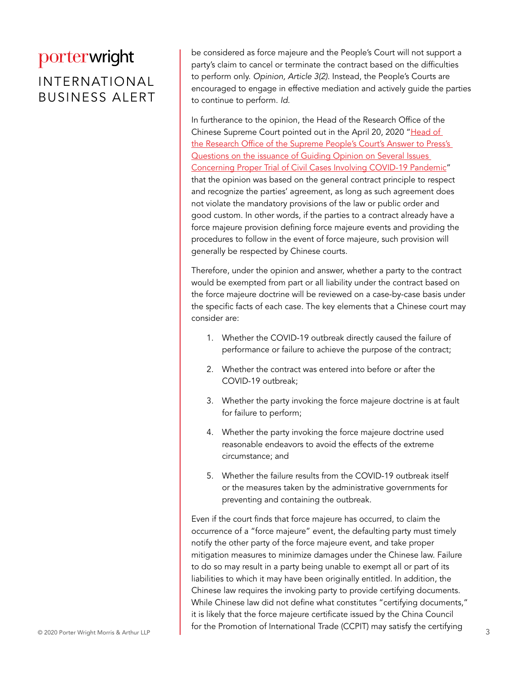### INTERNATIONAL BUSINESS ALERT

be considered as force majeure and the People's Court will not support a party's claim to cancel or terminate the contract based on the difficulties to perform only. *Opinion, Article 3(2)*. Instead, the People's Courts are encouraged to engage in effective mediation and actively guide the parties to continue to perform. *Id*.

In furtherance to the opinion, the Head of the Research Office of the Chinese Supreme Court pointed out in the April 20, 2020 "[Head of](http://www.court.gov.cn/zixun-xiangqing-226251.html)  [the Research Office of the Supreme People's Court's Answer to Press's](http://www.court.gov.cn/zixun-xiangqing-226251.html)  [Questions on the issuance of Guiding Opinion on Several Issues](http://www.court.gov.cn/zixun-xiangqing-226251.html)  [Concerning Proper Trial of Civil Cases Involving COVID-19 Pandemic"](http://www.court.gov.cn/zixun-xiangqing-226251.html) that the opinion was based on the general contract principle to respect and recognize the parties' agreement, as long as such agreement does not violate the mandatory provisions of the law or public order and good custom. In other words, if the parties to a contract already have a force majeure provision defining force majeure events and providing the procedures to follow in the event of force majeure, such provision will generally be respected by Chinese courts.

Therefore, under the opinion and answer, whether a party to the contract would be exempted from part or all liability under the contract based on the force majeure doctrine will be reviewed on a case-by-case basis under the specific facts of each case. The key elements that a Chinese court may consider are:

- 1. Whether the COVID-19 outbreak directly caused the failure of performance or failure to achieve the purpose of the contract;
- 2. Whether the contract was entered into before or after the COVID-19 outbreak;
- 3. Whether the party invoking the force majeure doctrine is at fault for failure to perform;
- 4. Whether the party invoking the force majeure doctrine used reasonable endeavors to avoid the effects of the extreme circumstance; and
- 5. Whether the failure results from the COVID-19 outbreak itself or the measures taken by the administrative governments for preventing and containing the outbreak.

© 2020 Porter Wright Morris & Arthur LLP **3** Even if the court finds that force majeure has occurred, to claim the occurrence of a "force majeure" event, the defaulting party must timely notify the other party of the force majeure event, and take proper mitigation measures to minimize damages under the Chinese law. Failure to do so may result in a party being unable to exempt all or part of its liabilities to which it may have been originally entitled. In addition, the Chinese law requires the invoking party to provide certifying documents. While Chinese law did not define what constitutes "certifying documents," it is likely that the force majeure certificate issued by the China Council for the Promotion of International Trade (CCPIT) may satisfy the certifying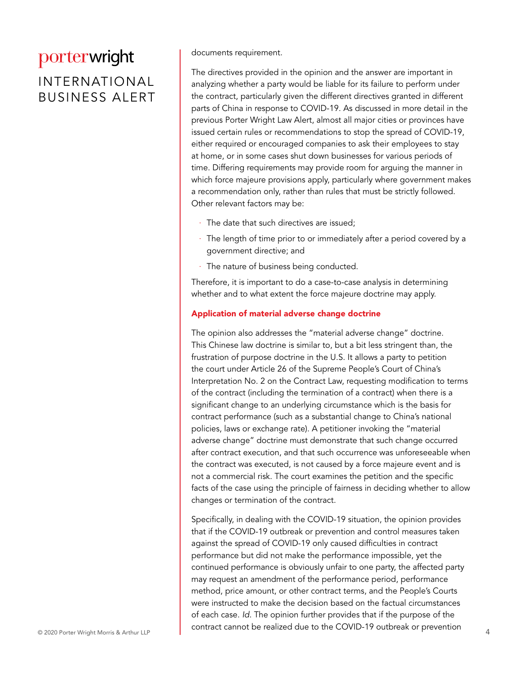#### INTERNATIONAL BUSINESS ALERT

documents requirement.

The directives provided in the opinion and the answer are important in analyzing whether a party would be liable for its failure to perform under the contract, particularly given the different directives granted in different parts of China in response to COVID-19. As discussed in more detail in the previous Porter Wright Law Alert, almost all major cities or provinces have issued certain rules or recommendations to stop the spread of COVID-19, either required or encouraged companies to ask their employees to stay at home, or in some cases shut down businesses for various periods of time. Differing requirements may provide room for arguing the manner in which force majeure provisions apply, particularly where government makes a recommendation only, rather than rules that must be strictly followed. Other relevant factors may be:

- The date that such directives are issued:
- The length of time prior to or immediately after a period covered by a government directive; and
- · The nature of business being conducted.

Therefore, it is important to do a case-to-case analysis in determining whether and to what extent the force majeure doctrine may apply.

#### Application of material adverse change doctrine

The opinion also addresses the "material adverse change" doctrine. This Chinese law doctrine is similar to, but a bit less stringent than, the frustration of purpose doctrine in the U.S. It allows a party to petition the court under Article 26 of the Supreme People's Court of China's Interpretation No. 2 on the Contract Law, requesting modification to terms of the contract (including the termination of a contract) when there is a significant change to an underlying circumstance which is the basis for contract performance (such as a substantial change to China's national policies, laws or exchange rate). A petitioner invoking the "material adverse change" doctrine must demonstrate that such change occurred after contract execution, and that such occurrence was unforeseeable when the contract was executed, is not caused by a force majeure event and is not a commercial risk. The court examines the petition and the specific facts of the case using the principle of fairness in deciding whether to allow changes or termination of the contract.

© 2020 Porter Wright Morris & Arthur LLP COTTUBEL CATHOL DE TEATLED QUE TO THE COVID-TY OUTDIEAN OF PIEVERTION Specifically, in dealing with the COVID-19 situation, the opinion provides that if the COVID-19 outbreak or prevention and control measures taken against the spread of COVID-19 only caused difficulties in contract performance but did not make the performance impossible, yet the continued performance is obviously unfair to one party, the affected party may request an amendment of the performance period, performance method, price amount, or other contract terms, and the People's Courts were instructed to make the decision based on the factual circumstances of each case. *Id*. The opinion further provides that if the purpose of the contract cannot be realized due to the COVID-19 outbreak or prevention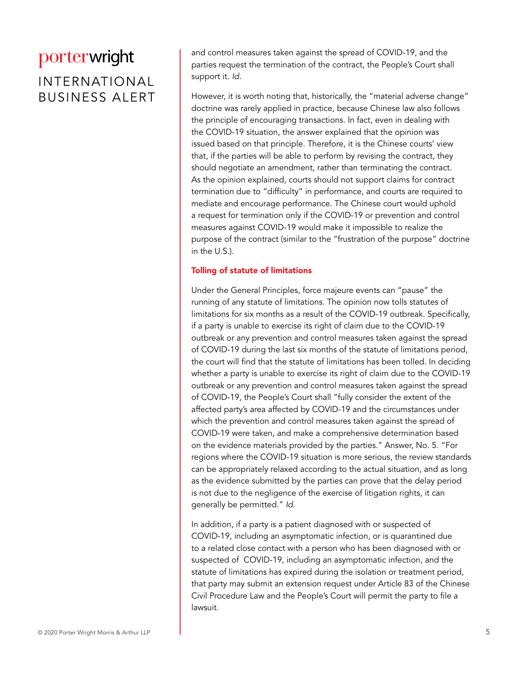### INTERNATIONAL BUSINESS ALERT

and control measures taken against the spread of COVID-19, and the parties request the termination of the contract, the People's Court shall support it. *Id*.

However, it is worth noting that, historically, the "material adverse change" doctrine was rarely applied in practice, because Chinese law also follows the principle of encouraging transactions. In fact, even in dealing with the COVID-19 situation, the answer explained that the opinion was issued based on that principle. Therefore, it is the Chinese courts' view that, if the parties will be able to perform by revising the contract, they should negotiate an amendment, rather than terminating the contract. As the opinion explained, courts should not support claims for contract termination due to "difficulty" in performance, and courts are required to mediate and encourage performance. The Chinese court would uphold a request for termination only if the COVID-19 or prevention and control measures against COVID-19 would make it impossible to realize the purpose of the contract (similar to the "frustration of the purpose" doctrine in the U.S.).

#### Tolling of statute of limitations

Under the General Principles, force majeure events can "pause" the running of any statute of limitations. The opinion now tolls statutes of limitations for six months as a result of the COVID-19 outbreak. Specifically, if a party is unable to exercise its right of claim due to the COVID-19 outbreak or any prevention and control measures taken against the spread of COVID-19 during the last six months of the statute of limitations period, the court will find that the statute of limitations has been tolled. In deciding whether a party is unable to exercise its right of claim due to the COVID-19 outbreak or any prevention and control measures taken against the spread of COVID-19, the People's Court shall "fully consider the extent of the affected party's area affected by COVID-19 and the circumstances under which the prevention and control measures taken against the spread of COVID-19 were taken, and make a comprehensive determination based on the evidence materials provided by the parties." Answer, No. 5. "For regions where the COVID-19 situation is more serious, the review standards can be appropriately relaxed according to the actual situation, and as long as the evidence submitted by the parties can prove that the delay period is not due to the negligence of the exercise of litigation rights, it can generally be permitted." *Id*.

In addition, if a party is a patient diagnosed with or suspected of COVID-19, including an asymptomatic infection, or is quarantined due to a related close contact with a person who has been diagnosed with or suspected of COVID-19, including an asymptomatic infection, and the statute of limitations has expired during the isolation or treatment period, that party may submit an extension request under Article 83 of the Chinese Civil Procedure Law and the People's Court will permit the party to file a lawsuit.